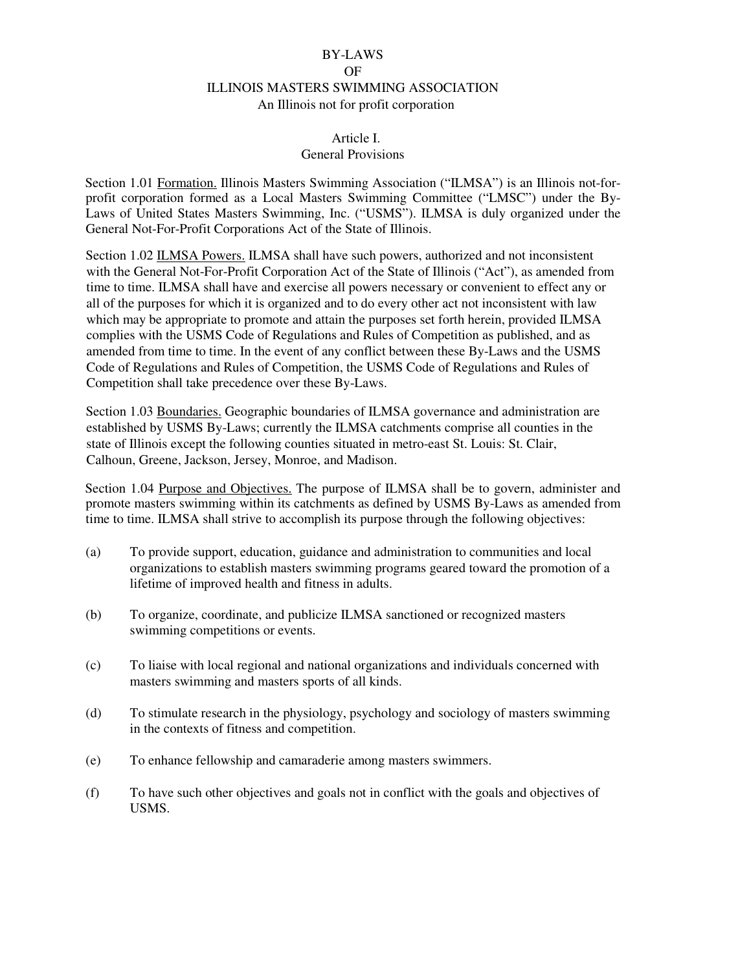# BY-LAWS OF ILLINOIS MASTERS SWIMMING ASSOCIATION An Illinois not for profit corporation

## Article I. General Provisions

Section 1.01 Formation. Illinois Masters Swimming Association ("ILMSA") is an Illinois not-forprofit corporation formed as a Local Masters Swimming Committee ("LMSC") under the By-Laws of United States Masters Swimming, Inc. ("USMS"). ILMSA is duly organized under the General Not-For-Profit Corporations Act of the State of Illinois.

Section 1.02 ILMSA Powers. ILMSA shall have such powers, authorized and not inconsistent with the General Not-For-Profit Corporation Act of the State of Illinois ("Act"), as amended from time to time. ILMSA shall have and exercise all powers necessary or convenient to effect any or all of the purposes for which it is organized and to do every other act not inconsistent with law which may be appropriate to promote and attain the purposes set forth herein, provided ILMSA complies with the USMS Code of Regulations and Rules of Competition as published, and as amended from time to time. In the event of any conflict between these By-Laws and the USMS Code of Regulations and Rules of Competition, the USMS Code of Regulations and Rules of Competition shall take precedence over these By-Laws.

Section 1.03 Boundaries. Geographic boundaries of ILMSA governance and administration are established by USMS By-Laws; currently the ILMSA catchments comprise all counties in the state of Illinois except the following counties situated in metro-east St. Louis: St. Clair, Calhoun, Greene, Jackson, Jersey, Monroe, and Madison.

Section 1.04 Purpose and Objectives. The purpose of ILMSA shall be to govern, administer and promote masters swimming within its catchments as defined by USMS By-Laws as amended from time to time. ILMSA shall strive to accomplish its purpose through the following objectives:

- (a) To provide support, education, guidance and administration to communities and local organizations to establish masters swimming programs geared toward the promotion of a lifetime of improved health and fitness in adults.
- (b) To organize, coordinate, and publicize ILMSA sanctioned or recognized masters swimming competitions or events.
- (c) To liaise with local regional and national organizations and individuals concerned with masters swimming and masters sports of all kinds.
- (d) To stimulate research in the physiology, psychology and sociology of masters swimming in the contexts of fitness and competition.
- (e) To enhance fellowship and camaraderie among masters swimmers.
- (f) To have such other objectives and goals not in conflict with the goals and objectives of USMS.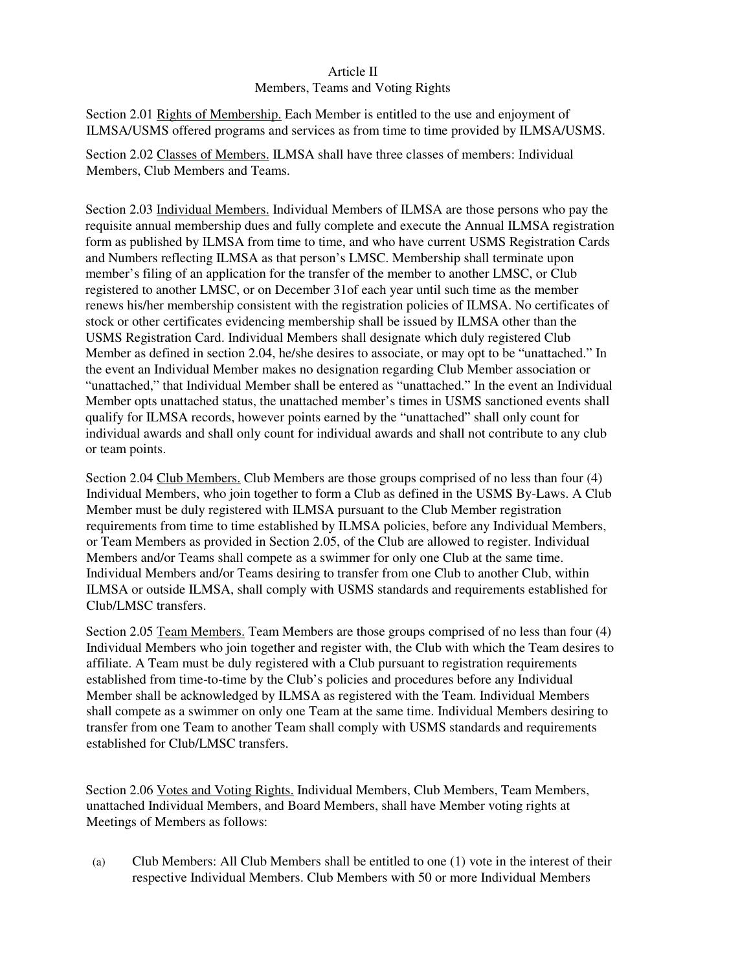## Article II

#### Members, Teams and Voting Rights

Section 2.01 Rights of Membership. Each Member is entitled to the use and enjoyment of ILMSA/USMS offered programs and services as from time to time provided by ILMSA/USMS.

Section 2.02 Classes of Members. ILMSA shall have three classes of members: Individual Members, Club Members and Teams.

Section 2.03 Individual Members. Individual Members of ILMSA are those persons who pay the requisite annual membership dues and fully complete and execute the Annual ILMSA registration form as published by ILMSA from time to time, and who have current USMS Registration Cards and Numbers reflecting ILMSA as that person's LMSC. Membership shall terminate upon member's filing of an application for the transfer of the member to another LMSC, or Club registered to another LMSC, or on December 31of each year until such time as the member renews his/her membership consistent with the registration policies of ILMSA. No certificates of stock or other certificates evidencing membership shall be issued by ILMSA other than the USMS Registration Card. Individual Members shall designate which duly registered Club Member as defined in section 2.04, he/she desires to associate, or may opt to be "unattached." In the event an Individual Member makes no designation regarding Club Member association or "unattached," that Individual Member shall be entered as "unattached." In the event an Individual Member opts unattached status, the unattached member's times in USMS sanctioned events shall qualify for ILMSA records, however points earned by the "unattached" shall only count for individual awards and shall only count for individual awards and shall not contribute to any club or team points.

Section 2.04 Club Members. Club Members are those groups comprised of no less than four (4) Individual Members, who join together to form a Club as defined in the USMS By-Laws. A Club Member must be duly registered with ILMSA pursuant to the Club Member registration requirements from time to time established by ILMSA policies, before any Individual Members, or Team Members as provided in Section 2.05, of the Club are allowed to register. Individual Members and/or Teams shall compete as a swimmer for only one Club at the same time. Individual Members and/or Teams desiring to transfer from one Club to another Club, within ILMSA or outside ILMSA, shall comply with USMS standards and requirements established for Club/LMSC transfers.

Section 2.05 Team Members. Team Members are those groups comprised of no less than four (4) Individual Members who join together and register with, the Club with which the Team desires to affiliate. A Team must be duly registered with a Club pursuant to registration requirements established from time-to-time by the Club's policies and procedures before any Individual Member shall be acknowledged by ILMSA as registered with the Team. Individual Members shall compete as a swimmer on only one Team at the same time. Individual Members desiring to transfer from one Team to another Team shall comply with USMS standards and requirements established for Club/LMSC transfers.

Section 2.06 Votes and Voting Rights. Individual Members, Club Members, Team Members, unattached Individual Members, and Board Members, shall have Member voting rights at Meetings of Members as follows:

(a) Club Members: All Club Members shall be entitled to one (1) vote in the interest of their respective Individual Members. Club Members with 50 or more Individual Members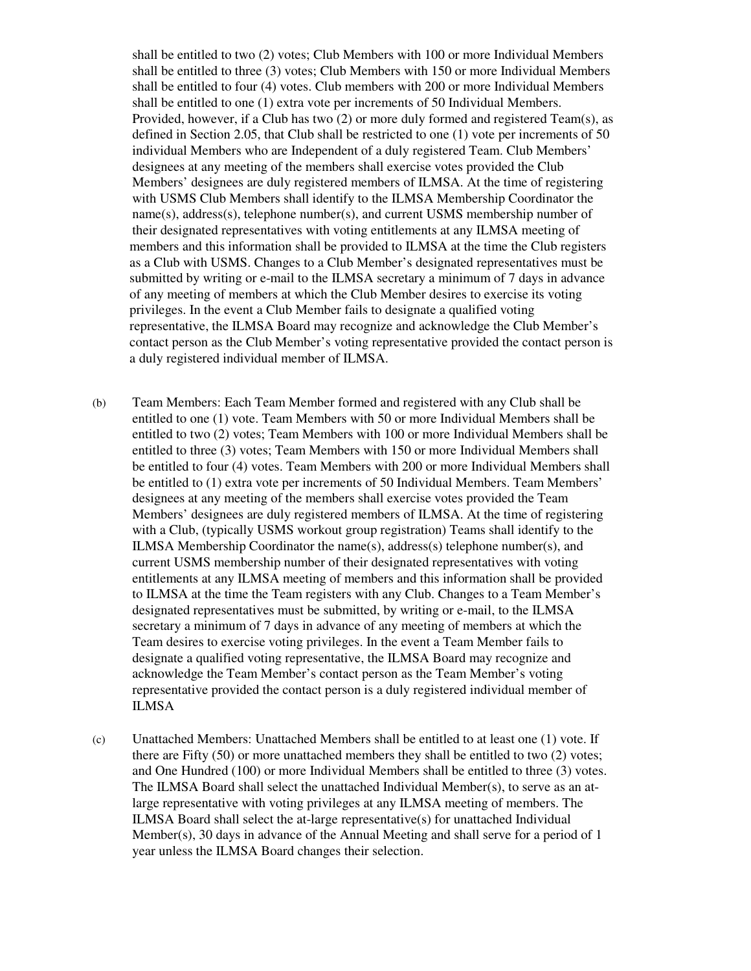shall be entitled to two (2) votes; Club Members with 100 or more Individual Members shall be entitled to three (3) votes; Club Members with 150 or more Individual Members shall be entitled to four (4) votes. Club members with 200 or more Individual Members shall be entitled to one (1) extra vote per increments of 50 Individual Members. Provided, however, if a Club has two  $(2)$  or more duly formed and registered Team $(s)$ , as defined in Section 2.05, that Club shall be restricted to one (1) vote per increments of 50 individual Members who are Independent of a duly registered Team. Club Members' designees at any meeting of the members shall exercise votes provided the Club Members' designees are duly registered members of ILMSA. At the time of registering with USMS Club Members shall identify to the ILMSA Membership Coordinator the name(s), address(s), telephone number(s), and current USMS membership number of their designated representatives with voting entitlements at any ILMSA meeting of members and this information shall be provided to ILMSA at the time the Club registers as a Club with USMS. Changes to a Club Member's designated representatives must be submitted by writing or e-mail to the ILMSA secretary a minimum of 7 days in advance of any meeting of members at which the Club Member desires to exercise its voting privileges. In the event a Club Member fails to designate a qualified voting representative, the ILMSA Board may recognize and acknowledge the Club Member's contact person as the Club Member's voting representative provided the contact person is a duly registered individual member of ILMSA.

- (b) Team Members: Each Team Member formed and registered with any Club shall be entitled to one (1) vote. Team Members with 50 or more Individual Members shall be entitled to two (2) votes; Team Members with 100 or more Individual Members shall be entitled to three (3) votes; Team Members with 150 or more Individual Members shall be entitled to four (4) votes. Team Members with 200 or more Individual Members shall be entitled to (1) extra vote per increments of 50 Individual Members. Team Members' designees at any meeting of the members shall exercise votes provided the Team Members' designees are duly registered members of ILMSA. At the time of registering with a Club, (typically USMS workout group registration) Teams shall identify to the ILMSA Membership Coordinator the name(s), address(s) telephone number(s), and current USMS membership number of their designated representatives with voting entitlements at any ILMSA meeting of members and this information shall be provided to ILMSA at the time the Team registers with any Club. Changes to a Team Member's designated representatives must be submitted, by writing or e-mail, to the ILMSA secretary a minimum of 7 days in advance of any meeting of members at which the Team desires to exercise voting privileges. In the event a Team Member fails to designate a qualified voting representative, the ILMSA Board may recognize and acknowledge the Team Member's contact person as the Team Member's voting representative provided the contact person is a duly registered individual member of ILMSA
- (c) Unattached Members: Unattached Members shall be entitled to at least one (1) vote. If there are Fifty (50) or more unattached members they shall be entitled to two (2) votes; and One Hundred (100) or more Individual Members shall be entitled to three (3) votes. The ILMSA Board shall select the unattached Individual Member(s), to serve as an atlarge representative with voting privileges at any ILMSA meeting of members. The ILMSA Board shall select the at-large representative(s) for unattached Individual Member(s), 30 days in advance of the Annual Meeting and shall serve for a period of 1 year unless the ILMSA Board changes their selection.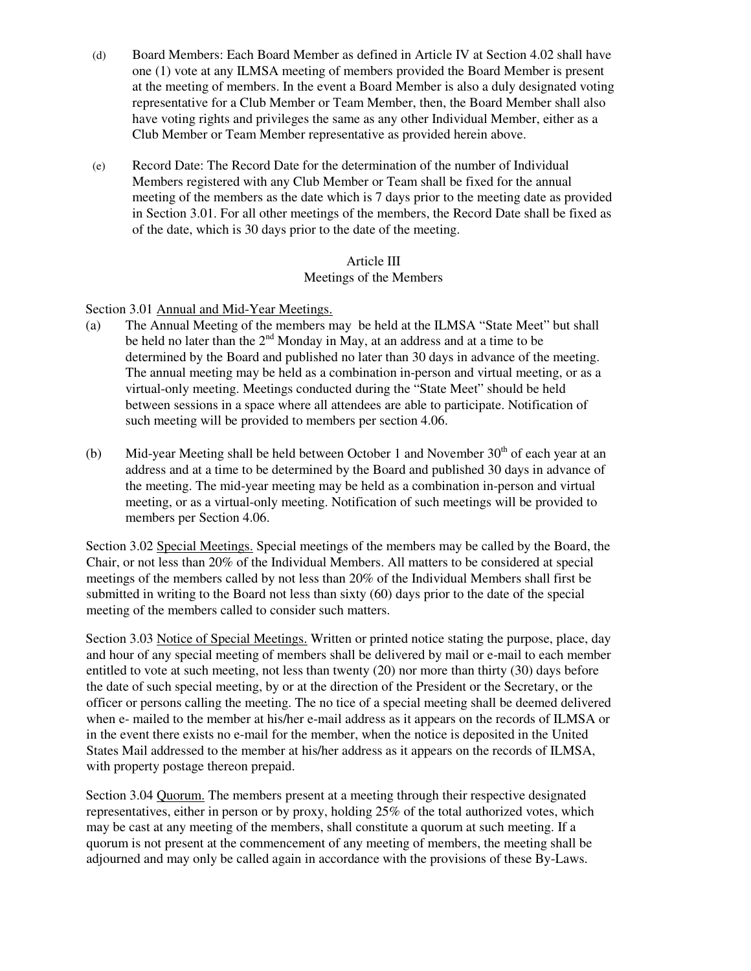- (d) Board Members: Each Board Member as defined in Article IV at Section 4.02 shall have one (1) vote at any ILMSA meeting of members provided the Board Member is present at the meeting of members. In the event a Board Member is also a duly designated voting representative for a Club Member or Team Member, then, the Board Member shall also have voting rights and privileges the same as any other Individual Member, either as a Club Member or Team Member representative as provided herein above.
- (e) Record Date: The Record Date for the determination of the number of Individual Members registered with any Club Member or Team shall be fixed for the annual meeting of the members as the date which is 7 days prior to the meeting date as provided in Section 3.01. For all other meetings of the members, the Record Date shall be fixed as of the date, which is 30 days prior to the date of the meeting.

# Article III Meetings of the Members

Section 3.01 Annual and Mid-Year Meetings.

- (a) The Annual Meeting of the members may be held at the ILMSA "State Meet" but shall be held no later than the  $2<sup>nd</sup>$  Monday in May, at an address and at a time to be determined by the Board and published no later than 30 days in advance of the meeting. The annual meeting may be held as a combination in-person and virtual meeting, or as a virtual-only meeting. Meetings conducted during the "State Meet" should be held between sessions in a space where all attendees are able to participate. Notification of such meeting will be provided to members per section 4.06.
- (b) Mid-year Meeting shall be held between October 1 and November  $30<sup>th</sup>$  of each year at an address and at a time to be determined by the Board and published 30 days in advance of the meeting. The mid-year meeting may be held as a combination in-person and virtual meeting, or as a virtual-only meeting. Notification of such meetings will be provided to members per Section 4.06.

Section 3.02 Special Meetings. Special meetings of the members may be called by the Board, the Chair, or not less than 20% of the Individual Members. All matters to be considered at special meetings of the members called by not less than 20% of the Individual Members shall first be submitted in writing to the Board not less than sixty (60) days prior to the date of the special meeting of the members called to consider such matters.

Section 3.03 Notice of Special Meetings. Written or printed notice stating the purpose, place, day and hour of any special meeting of members shall be delivered by mail or e-mail to each member entitled to vote at such meeting, not less than twenty (20) nor more than thirty (30) days before the date of such special meeting, by or at the direction of the President or the Secretary, or the officer or persons calling the meeting. The no tice of a special meeting shall be deemed delivered when e- mailed to the member at his/her e-mail address as it appears on the records of ILMSA or in the event there exists no e-mail for the member, when the notice is deposited in the United States Mail addressed to the member at his/her address as it appears on the records of ILMSA, with property postage thereon prepaid.

Section 3.04 Quorum. The members present at a meeting through their respective designated representatives, either in person or by proxy, holding 25% of the total authorized votes, which may be cast at any meeting of the members, shall constitute a quorum at such meeting. If a quorum is not present at the commencement of any meeting of members, the meeting shall be adjourned and may only be called again in accordance with the provisions of these By-Laws.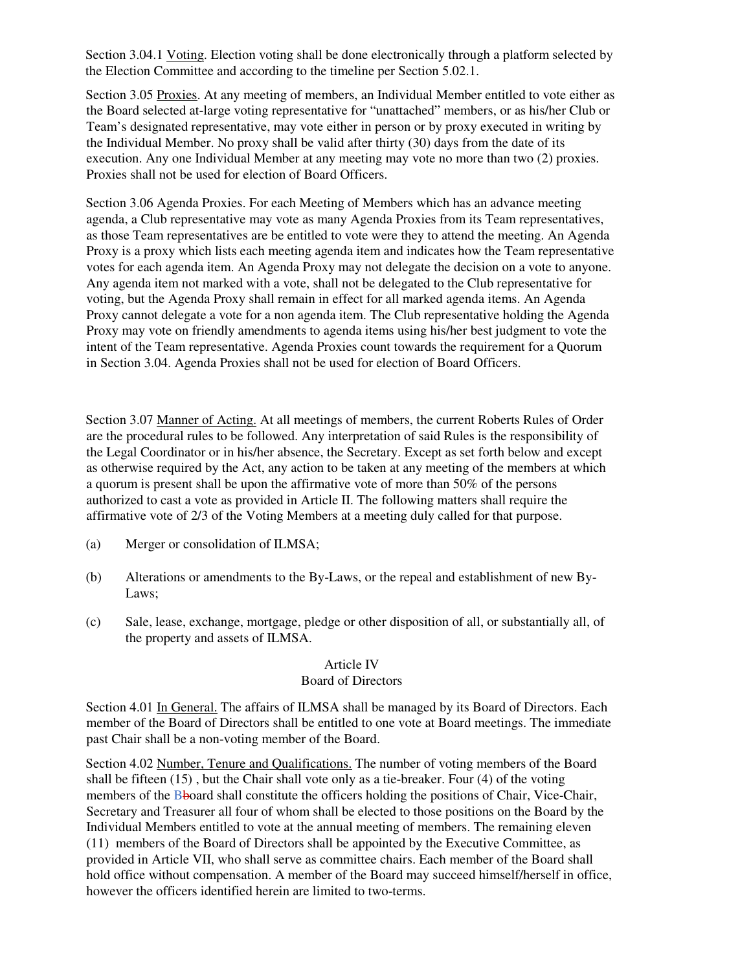Section 3.04.1 Voting. Election voting shall be done electronically through a platform selected by the Election Committee and according to the timeline per Section 5.02.1.

Section 3.05 Proxies. At any meeting of members, an Individual Member entitled to vote either as the Board selected at-large voting representative for "unattached" members, or as his/her Club or Team's designated representative, may vote either in person or by proxy executed in writing by the Individual Member. No proxy shall be valid after thirty (30) days from the date of its execution. Any one Individual Member at any meeting may vote no more than two (2) proxies. Proxies shall not be used for election of Board Officers.

Section 3.06 Agenda Proxies. For each Meeting of Members which has an advance meeting agenda, a Club representative may vote as many Agenda Proxies from its Team representatives, as those Team representatives are be entitled to vote were they to attend the meeting. An Agenda Proxy is a proxy which lists each meeting agenda item and indicates how the Team representative votes for each agenda item. An Agenda Proxy may not delegate the decision on a vote to anyone. Any agenda item not marked with a vote, shall not be delegated to the Club representative for voting, but the Agenda Proxy shall remain in effect for all marked agenda items. An Agenda Proxy cannot delegate a vote for a non agenda item. The Club representative holding the Agenda Proxy may vote on friendly amendments to agenda items using his/her best judgment to vote the intent of the Team representative. Agenda Proxies count towards the requirement for a Quorum in Section 3.04. Agenda Proxies shall not be used for election of Board Officers.

Section 3.07 Manner of Acting. At all meetings of members, the current Roberts Rules of Order are the procedural rules to be followed. Any interpretation of said Rules is the responsibility of the Legal Coordinator or in his/her absence, the Secretary. Except as set forth below and except as otherwise required by the Act, any action to be taken at any meeting of the members at which a quorum is present shall be upon the affirmative vote of more than 50% of the persons authorized to cast a vote as provided in Article II. The following matters shall require the affirmative vote of 2/3 of the Voting Members at a meeting duly called for that purpose.

- (a) Merger or consolidation of ILMSA;
- (b) Alterations or amendments to the By-Laws, or the repeal and establishment of new By-Laws;
- (c) Sale, lease, exchange, mortgage, pledge or other disposition of all, or substantially all, of the property and assets of ILMSA.

#### Article IV Board of Directors

Section 4.01 In General. The affairs of ILMSA shall be managed by its Board of Directors. Each member of the Board of Directors shall be entitled to one vote at Board meetings. The immediate past Chair shall be a non-voting member of the Board.

Section 4.02 Number, Tenure and Qualifications. The number of voting members of the Board shall be fifteen  $(15)$ , but the Chair shall vote only as a tie-breaker. Four  $(4)$  of the voting members of the Bboard shall constitute the officers holding the positions of Chair, Vice-Chair, Secretary and Treasurer all four of whom shall be elected to those positions on the Board by the Individual Members entitled to vote at the annual meeting of members. The remaining eleven (11) members of the Board of Directors shall be appointed by the Executive Committee, as provided in Article VII, who shall serve as committee chairs. Each member of the Board shall hold office without compensation. A member of the Board may succeed himself/herself in office, however the officers identified herein are limited to two-terms.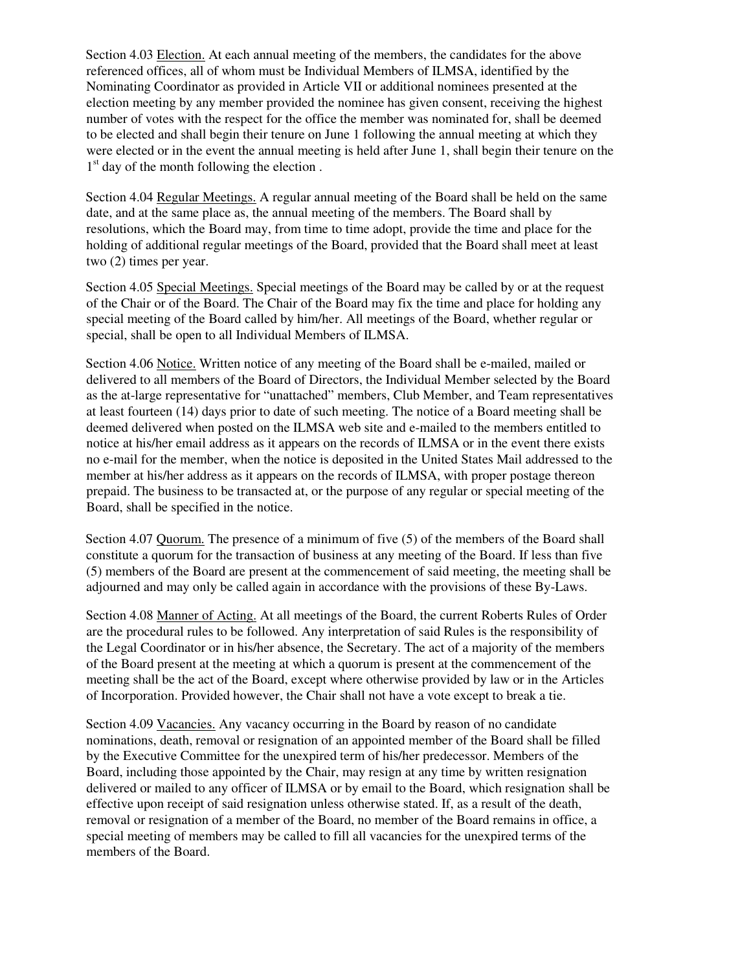Section 4.03 Election. At each annual meeting of the members, the candidates for the above referenced offices, all of whom must be Individual Members of ILMSA, identified by the Nominating Coordinator as provided in Article VII or additional nominees presented at the election meeting by any member provided the nominee has given consent, receiving the highest number of votes with the respect for the office the member was nominated for, shall be deemed to be elected and shall begin their tenure on June 1 following the annual meeting at which they were elected or in the event the annual meeting is held after June 1, shall begin their tenure on the 1<sup>st</sup> day of the month following the election.

Section 4.04 Regular Meetings. A regular annual meeting of the Board shall be held on the same date, and at the same place as, the annual meeting of the members. The Board shall by resolutions, which the Board may, from time to time adopt, provide the time and place for the holding of additional regular meetings of the Board, provided that the Board shall meet at least two (2) times per year.

Section 4.05 Special Meetings. Special meetings of the Board may be called by or at the request of the Chair or of the Board. The Chair of the Board may fix the time and place for holding any special meeting of the Board called by him/her. All meetings of the Board, whether regular or special, shall be open to all Individual Members of ILMSA.

Section 4.06 Notice. Written notice of any meeting of the Board shall be e-mailed, mailed or delivered to all members of the Board of Directors, the Individual Member selected by the Board as the at-large representative for "unattached" members, Club Member, and Team representatives at least fourteen (14) days prior to date of such meeting. The notice of a Board meeting shall be deemed delivered when posted on the ILMSA web site and e-mailed to the members entitled to notice at his/her email address as it appears on the records of ILMSA or in the event there exists no e-mail for the member, when the notice is deposited in the United States Mail addressed to the member at his/her address as it appears on the records of ILMSA, with proper postage thereon prepaid. The business to be transacted at, or the purpose of any regular or special meeting of the Board, shall be specified in the notice.

Section 4.07 Quorum. The presence of a minimum of five (5) of the members of the Board shall constitute a quorum for the transaction of business at any meeting of the Board. If less than five (5) members of the Board are present at the commencement of said meeting, the meeting shall be adjourned and may only be called again in accordance with the provisions of these By-Laws.

Section 4.08 Manner of Acting. At all meetings of the Board, the current Roberts Rules of Order are the procedural rules to be followed. Any interpretation of said Rules is the responsibility of the Legal Coordinator or in his/her absence, the Secretary. The act of a majority of the members of the Board present at the meeting at which a quorum is present at the commencement of the meeting shall be the act of the Board, except where otherwise provided by law or in the Articles of Incorporation. Provided however, the Chair shall not have a vote except to break a tie.

Section 4.09 Vacancies. Any vacancy occurring in the Board by reason of no candidate nominations, death, removal or resignation of an appointed member of the Board shall be filled by the Executive Committee for the unexpired term of his/her predecessor. Members of the Board, including those appointed by the Chair, may resign at any time by written resignation delivered or mailed to any officer of ILMSA or by email to the Board, which resignation shall be effective upon receipt of said resignation unless otherwise stated. If, as a result of the death, removal or resignation of a member of the Board, no member of the Board remains in office, a special meeting of members may be called to fill all vacancies for the unexpired terms of the members of the Board.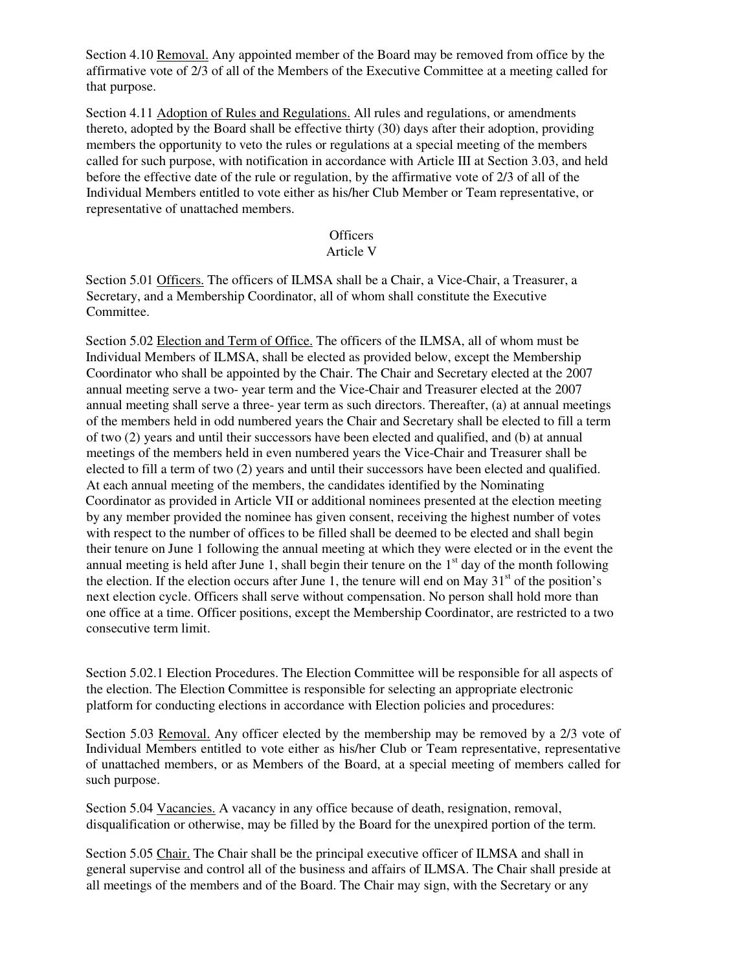Section 4.10 Removal. Any appointed member of the Board may be removed from office by the affirmative vote of 2/3 of all of the Members of the Executive Committee at a meeting called for that purpose.

Section 4.11 Adoption of Rules and Regulations. All rules and regulations, or amendments thereto, adopted by the Board shall be effective thirty (30) days after their adoption, providing members the opportunity to veto the rules or regulations at a special meeting of the members called for such purpose, with notification in accordance with Article III at Section 3.03, and held before the effective date of the rule or regulation, by the affirmative vote of 2/3 of all of the Individual Members entitled to vote either as his/her Club Member or Team representative, or representative of unattached members.

**Officers** 

## Article V

Section 5.01 Officers. The officers of ILMSA shall be a Chair, a Vice-Chair, a Treasurer, a Secretary, and a Membership Coordinator, all of whom shall constitute the Executive Committee.

Section 5.02 Election and Term of Office. The officers of the ILMSA, all of whom must be Individual Members of ILMSA, shall be elected as provided below, except the Membership Coordinator who shall be appointed by the Chair. The Chair and Secretary elected at the 2007 annual meeting serve a two- year term and the Vice-Chair and Treasurer elected at the 2007 annual meeting shall serve a three- year term as such directors. Thereafter, (a) at annual meetings of the members held in odd numbered years the Chair and Secretary shall be elected to fill a term of two (2) years and until their successors have been elected and qualified, and (b) at annual meetings of the members held in even numbered years the Vice-Chair and Treasurer shall be elected to fill a term of two (2) years and until their successors have been elected and qualified. At each annual meeting of the members, the candidates identified by the Nominating Coordinator as provided in Article VII or additional nominees presented at the election meeting by any member provided the nominee has given consent, receiving the highest number of votes with respect to the number of offices to be filled shall be deemed to be elected and shall begin their tenure on June 1 following the annual meeting at which they were elected or in the event the annual meeting is held after June 1, shall begin their tenure on the  $1<sup>st</sup>$  day of the month following the election. If the election occurs after June 1, the tenure will end on May  $31<sup>st</sup>$  of the position's next election cycle. Officers shall serve without compensation. No person shall hold more than one office at a time. Officer positions, except the Membership Coordinator, are restricted to a two consecutive term limit.

Section 5.02.1 Election Procedures. The Election Committee will be responsible for all aspects of the election. The Election Committee is responsible for selecting an appropriate electronic platform for conducting elections in accordance with Election policies and procedures:

Section 5.03 Removal. Any officer elected by the membership may be removed by a 2/3 vote of Individual Members entitled to vote either as his/her Club or Team representative, representative of unattached members, or as Members of the Board, at a special meeting of members called for such purpose.

Section 5.04 Vacancies. A vacancy in any office because of death, resignation, removal, disqualification or otherwise, may be filled by the Board for the unexpired portion of the term.

Section 5.05 Chair. The Chair shall be the principal executive officer of ILMSA and shall in general supervise and control all of the business and affairs of ILMSA. The Chair shall preside at all meetings of the members and of the Board. The Chair may sign, with the Secretary or any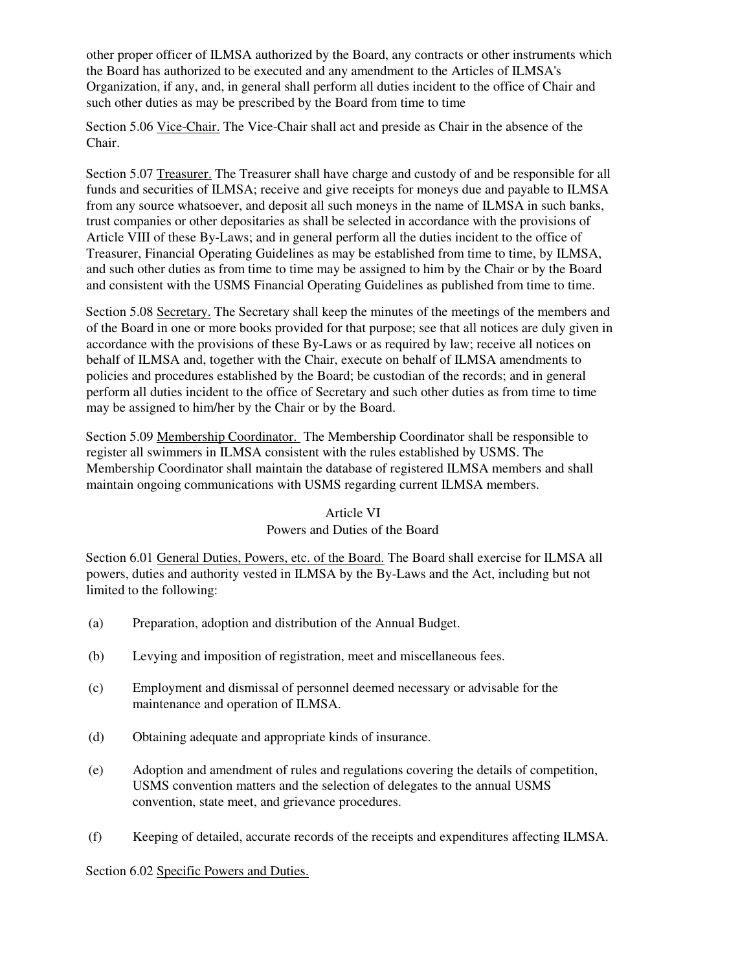other proper officer of ILMSA authorized by the Board, any contracts or other instruments which the Board has authorized to be executed and any amendment to the Articles of ILMSA's Organization, if any, and, in general shall perform all duties incident to the office of Chair and such other duties as may be prescribed by the Board from time to time

Section 5.06 Vice-Chair. The Vice-Chair shall act and preside as Chair in the absence of the Chair.

Section 5.07 Treasurer. The Treasurer shall have charge and custody of and be responsible for all funds and securities of ILMSA; receive and give receipts for moneys due and payable to ILMSA from any source whatsoever, and deposit all such moneys in the name of ILMSA in such banks, trust companies or other depositaries as shall be selected in accordance with the provisions of Article VIII of these By-Laws; and in general perform all the duties incident to the office of Treasurer, Financial Operating Guidelines as may be established from time to time, by ILMSA, and such other duties as from time to time may be assigned to him by the Chair or by the Board and consistent with the USMS Financial Operating Guidelines as published from time to time.

Section 5.08 Secretary. The Secretary shall keep the minutes of the meetings of the members and of the Board in one or more books provided for that purpose; see that all notices are duly given in accordance with the provisions of these By-Laws or as required by law; receive all notices on behalf of ILMSA and, together with the Chair, execute on behalf of ILMSA amendments to policies and procedures established by the Board; be custodian of the records; and in general perform all duties incident to the office of Secretary and such other duties as from time to time may be assigned to him/her by the Chair or by the Board.

Section 5.09 Membership Coordinator. The Membership Coordinator shall be responsible to register all swimmers in ILMSA consistent with the rules established by USMS. The Membership Coordinator shall maintain the database of registered ILMSA members and shall maintain ongoing communications with USMS regarding current ILMSA members.

# Article VI Powers and Duties of the Board

Section 6.01 General Duties, Powers, etc. of the Board. The Board shall exercise for ILMSA all powers, duties and authority vested in ILMSA by the By-Laws and the Act, including but not limited to the following:

- (a) Preparation, adoption and distribution of the Annual Budget.
- (b) Levying and imposition of registration, meet and miscellaneous fees.
- (c) Employment and dismissal of personnel deemed necessary or advisable for the maintenance and operation of ILMSA.
- (d) Obtaining adequate and appropriate kinds of insurance.
- (e) Adoption and amendment of rules and regulations covering the details of competition, USMS convention matters and the selection of delegates to the annual USMS convention, state meet, and grievance procedures.
- (f) Keeping of detailed, accurate records of the receipts and expenditures affecting ILMSA.

Section 6.02 Specific Powers and Duties.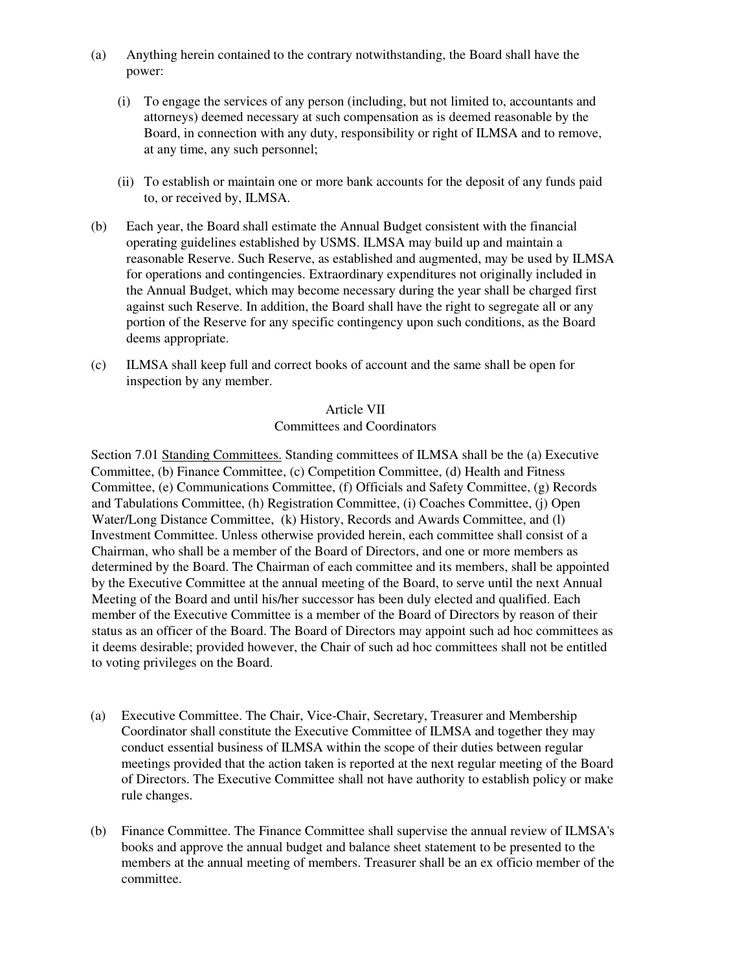- (a) Anything herein contained to the contrary notwithstanding, the Board shall have the power:
	- (i) To engage the services of any person (including, but not limited to, accountants and attorneys) deemed necessary at such compensation as is deemed reasonable by the Board, in connection with any duty, responsibility or right of ILMSA and to remove, at any time, any such personnel;
	- (ii) To establish or maintain one or more bank accounts for the deposit of any funds paid to, or received by, ILMSA.
- (b) Each year, the Board shall estimate the Annual Budget consistent with the financial operating guidelines established by USMS. ILMSA may build up and maintain a reasonable Reserve. Such Reserve, as established and augmented, may be used by ILMSA for operations and contingencies. Extraordinary expenditures not originally included in the Annual Budget, which may become necessary during the year shall be charged first against such Reserve. In addition, the Board shall have the right to segregate all or any portion of the Reserve for any specific contingency upon such conditions, as the Board deems appropriate.
- (c) ILMSA shall keep full and correct books of account and the same shall be open for inspection by any member.

# Article VII

# Committees and Coordinators

Section 7.01 Standing Committees. Standing committees of ILMSA shall be the (a) Executive Committee, (b) Finance Committee, (c) Competition Committee, (d) Health and Fitness Committee, (e) Communications Committee, (f) Officials and Safety Committee, (g) Records and Tabulations Committee, (h) Registration Committee, (i) Coaches Committee, (j) Open Water/Long Distance Committee, (k) History, Records and Awards Committee, and (l) Investment Committee. Unless otherwise provided herein, each committee shall consist of a Chairman, who shall be a member of the Board of Directors, and one or more members as determined by the Board. The Chairman of each committee and its members, shall be appointed by the Executive Committee at the annual meeting of the Board, to serve until the next Annual Meeting of the Board and until his/her successor has been duly elected and qualified. Each member of the Executive Committee is a member of the Board of Directors by reason of their status as an officer of the Board. The Board of Directors may appoint such ad hoc committees as it deems desirable; provided however, the Chair of such ad hoc committees shall not be entitled to voting privileges on the Board.

- (a) Executive Committee. The Chair, Vice-Chair, Secretary, Treasurer and Membership Coordinator shall constitute the Executive Committee of ILMSA and together they may conduct essential business of ILMSA within the scope of their duties between regular meetings provided that the action taken is reported at the next regular meeting of the Board of Directors. The Executive Committee shall not have authority to establish policy or make rule changes.
- (b) Finance Committee. The Finance Committee shall supervise the annual review of ILMSA's books and approve the annual budget and balance sheet statement to be presented to the members at the annual meeting of members. Treasurer shall be an ex officio member of the committee.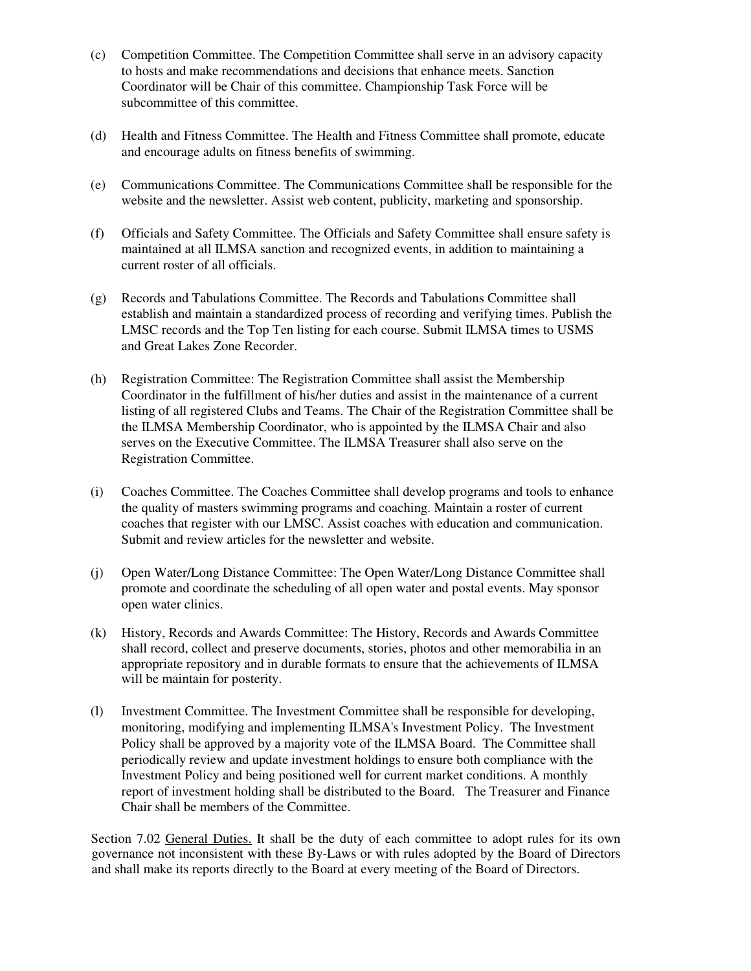- (c) Competition Committee. The Competition Committee shall serve in an advisory capacity to hosts and make recommendations and decisions that enhance meets. Sanction Coordinator will be Chair of this committee. Championship Task Force will be subcommittee of this committee.
- (d) Health and Fitness Committee. The Health and Fitness Committee shall promote, educate and encourage adults on fitness benefits of swimming.
- (e) Communications Committee. The Communications Committee shall be responsible for the website and the newsletter. Assist web content, publicity, marketing and sponsorship.
- (f) Officials and Safety Committee. The Officials and Safety Committee shall ensure safety is maintained at all ILMSA sanction and recognized events, in addition to maintaining a current roster of all officials.
- (g) Records and Tabulations Committee. The Records and Tabulations Committee shall establish and maintain a standardized process of recording and verifying times. Publish the LMSC records and the Top Ten listing for each course. Submit ILMSA times to USMS and Great Lakes Zone Recorder.
- (h) Registration Committee: The Registration Committee shall assist the Membership Coordinator in the fulfillment of his/her duties and assist in the maintenance of a current listing of all registered Clubs and Teams. The Chair of the Registration Committee shall be the ILMSA Membership Coordinator, who is appointed by the ILMSA Chair and also serves on the Executive Committee. The ILMSA Treasurer shall also serve on the Registration Committee.
- (i) Coaches Committee. The Coaches Committee shall develop programs and tools to enhance the quality of masters swimming programs and coaching. Maintain a roster of current coaches that register with our LMSC. Assist coaches with education and communication. Submit and review articles for the newsletter and website.
- (j) Open Water/Long Distance Committee: The Open Water/Long Distance Committee shall promote and coordinate the scheduling of all open water and postal events. May sponsor open water clinics.
- (k) History, Records and Awards Committee: The History, Records and Awards Committee shall record, collect and preserve documents, stories, photos and other memorabilia in an appropriate repository and in durable formats to ensure that the achievements of ILMSA will be maintain for posterity.
- (l) Investment Committee. The Investment Committee shall be responsible for developing, monitoring, modifying and implementing ILMSA's Investment Policy. The Investment Policy shall be approved by a majority vote of the ILMSA Board. The Committee shall periodically review and update investment holdings to ensure both compliance with the Investment Policy and being positioned well for current market conditions. A monthly report of investment holding shall be distributed to the Board. The Treasurer and Finance Chair shall be members of the Committee.

Section 7.02 General Duties. It shall be the duty of each committee to adopt rules for its own governance not inconsistent with these By-Laws or with rules adopted by the Board of Directors and shall make its reports directly to the Board at every meeting of the Board of Directors.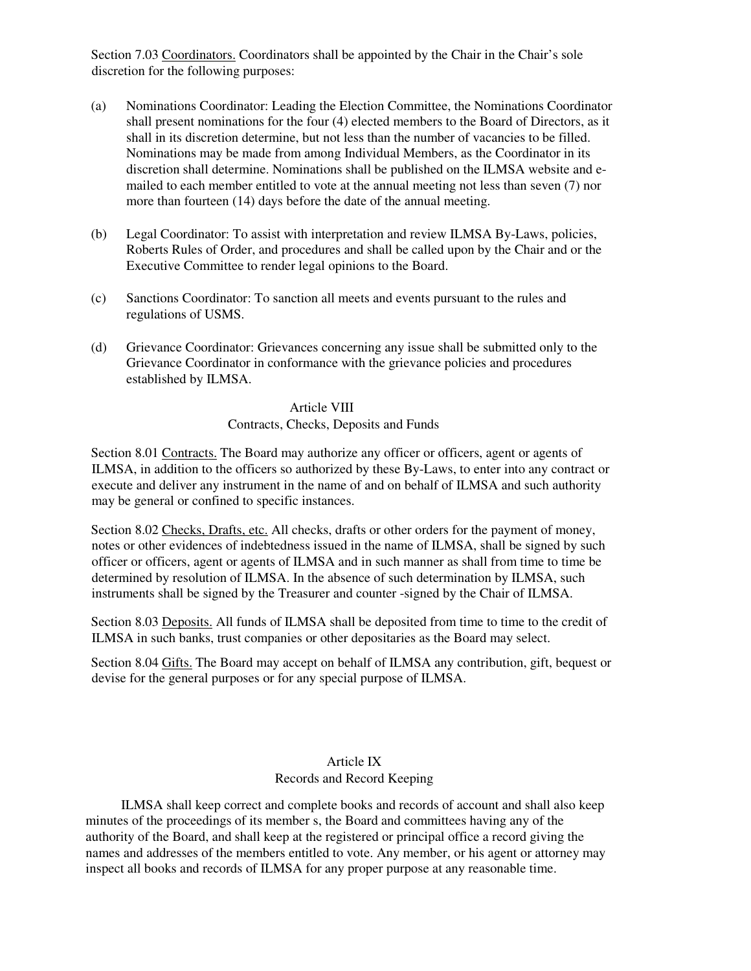Section 7.03 Coordinators. Coordinators shall be appointed by the Chair in the Chair's sole discretion for the following purposes:

- (a) Nominations Coordinator: Leading the Election Committee, the Nominations Coordinator shall present nominations for the four (4) elected members to the Board of Directors, as it shall in its discretion determine, but not less than the number of vacancies to be filled. Nominations may be made from among Individual Members, as the Coordinator in its discretion shall determine. Nominations shall be published on the ILMSA website and emailed to each member entitled to vote at the annual meeting not less than seven (7) nor more than fourteen (14) days before the date of the annual meeting.
- (b) Legal Coordinator: To assist with interpretation and review ILMSA By-Laws, policies, Roberts Rules of Order, and procedures and shall be called upon by the Chair and or the Executive Committee to render legal opinions to the Board.
- (c) Sanctions Coordinator: To sanction all meets and events pursuant to the rules and regulations of USMS.
- (d) Grievance Coordinator: Grievances concerning any issue shall be submitted only to the Grievance Coordinator in conformance with the grievance policies and procedures established by ILMSA.

Article VIII Contracts, Checks, Deposits and Funds

Section 8.01 Contracts. The Board may authorize any officer or officers, agent or agents of ILMSA, in addition to the officers so authorized by these By-Laws, to enter into any contract or execute and deliver any instrument in the name of and on behalf of ILMSA and such authority may be general or confined to specific instances.

Section 8.02 Checks, Drafts, etc. All checks, drafts or other orders for the payment of money, notes or other evidences of indebtedness issued in the name of ILMSA, shall be signed by such officer or officers, agent or agents of ILMSA and in such manner as shall from time to time be determined by resolution of ILMSA. In the absence of such determination by ILMSA, such instruments shall be signed by the Treasurer and counter -signed by the Chair of ILMSA.

Section 8.03 Deposits. All funds of ILMSA shall be deposited from time to time to the credit of ILMSA in such banks, trust companies or other depositaries as the Board may select.

Section 8.04 Gifts. The Board may accept on behalf of ILMSA any contribution, gift, bequest or devise for the general purposes or for any special purpose of ILMSA.

# Article IX Records and Record Keeping

ILMSA shall keep correct and complete books and records of account and shall also keep minutes of the proceedings of its member s, the Board and committees having any of the authority of the Board, and shall keep at the registered or principal office a record giving the names and addresses of the members entitled to vote. Any member, or his agent or attorney may inspect all books and records of ILMSA for any proper purpose at any reasonable time.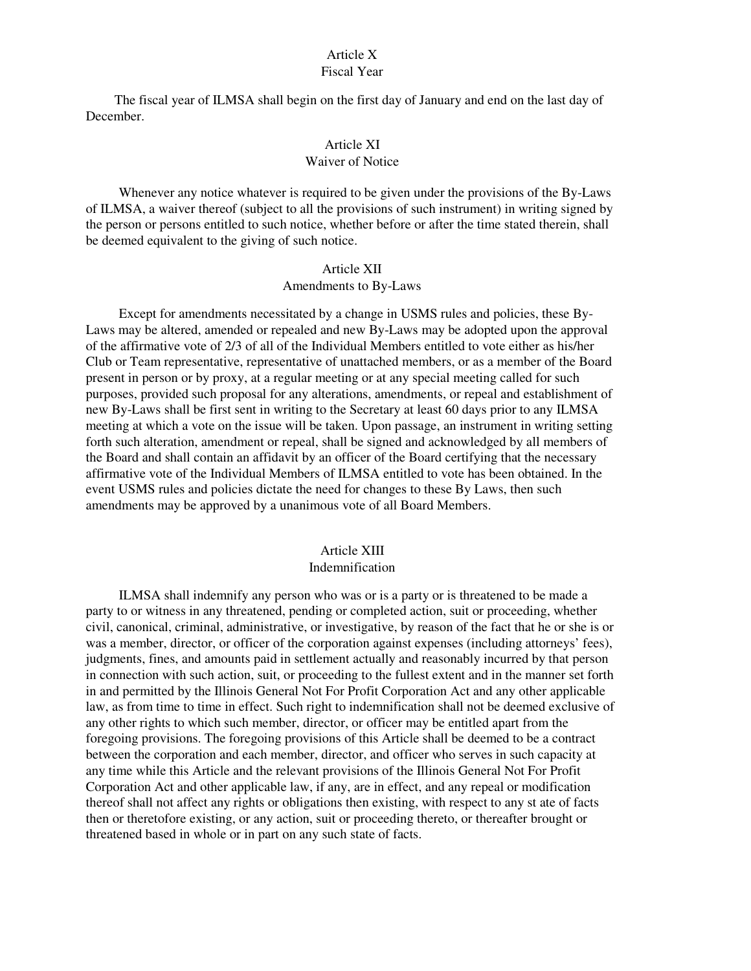# Article X

#### Fiscal Year

The fiscal year of ILMSA shall begin on the first day of January and end on the last day of December.

# Article XI

# Waiver of Notice

Whenever any notice whatever is required to be given under the provisions of the By-Laws of ILMSA, a waiver thereof (subject to all the provisions of such instrument) in writing signed by the person or persons entitled to such notice, whether before or after the time stated therein, shall be deemed equivalent to the giving of such notice.

# Article XII

## Amendments to By-Laws

Except for amendments necessitated by a change in USMS rules and policies, these By-Laws may be altered, amended or repealed and new By-Laws may be adopted upon the approval of the affirmative vote of 2/3 of all of the Individual Members entitled to vote either as his/her Club or Team representative, representative of unattached members, or as a member of the Board present in person or by proxy, at a regular meeting or at any special meeting called for such purposes, provided such proposal for any alterations, amendments, or repeal and establishment of new By-Laws shall be first sent in writing to the Secretary at least 60 days prior to any ILMSA meeting at which a vote on the issue will be taken. Upon passage, an instrument in writing setting forth such alteration, amendment or repeal, shall be signed and acknowledged by all members of the Board and shall contain an affidavit by an officer of the Board certifying that the necessary affirmative vote of the Individual Members of ILMSA entitled to vote has been obtained. In the event USMS rules and policies dictate the need for changes to these By Laws, then such amendments may be approved by a unanimous vote of all Board Members.

#### Article XIII

#### Indemnification

ILMSA shall indemnify any person who was or is a party or is threatened to be made a party to or witness in any threatened, pending or completed action, suit or proceeding, whether civil, canonical, criminal, administrative, or investigative, by reason of the fact that he or she is or was a member, director, or officer of the corporation against expenses (including attorneys' fees), judgments, fines, and amounts paid in settlement actually and reasonably incurred by that person in connection with such action, suit, or proceeding to the fullest extent and in the manner set forth in and permitted by the Illinois General Not For Profit Corporation Act and any other applicable law, as from time to time in effect. Such right to indemnification shall not be deemed exclusive of any other rights to which such member, director, or officer may be entitled apart from the foregoing provisions. The foregoing provisions of this Article shall be deemed to be a contract between the corporation and each member, director, and officer who serves in such capacity at any time while this Article and the relevant provisions of the Illinois General Not For Profit Corporation Act and other applicable law, if any, are in effect, and any repeal or modification thereof shall not affect any rights or obligations then existing, with respect to any st ate of facts then or theretofore existing, or any action, suit or proceeding thereto, or thereafter brought or threatened based in whole or in part on any such state of facts.